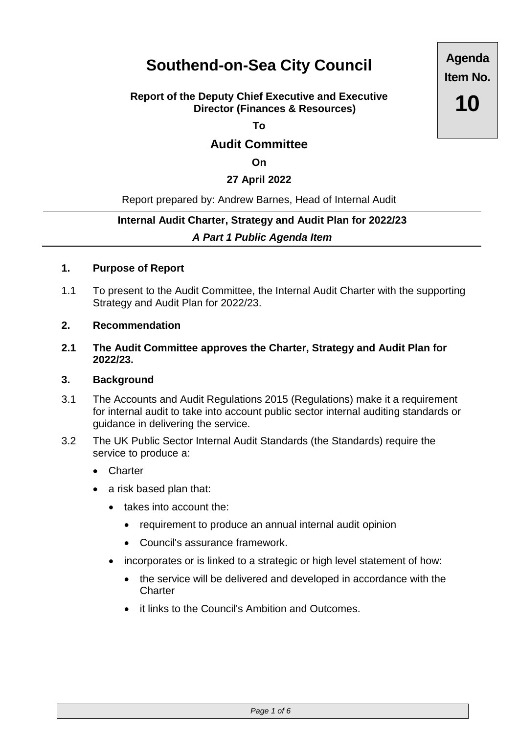# **Southend-on-Sea City Council**

# **Report of the Deputy Chief Executive and Executive Director (Finances & Resources)**

**To**

# **Audit Committee**

**On**

# **27 April 2022**

## Report prepared by: Andrew Barnes, Head of Internal Audit

# **Internal Audit Charter, Strategy and Audit Plan for 2022/23** *A Part 1 Public Agenda Item*

#### **1. Purpose of Report**

- 1.1 To present to the Audit Committee, the Internal Audit Charter with the supporting Strategy and Audit Plan for 2022/23.
- **2. Recommendation**
- **2.1 The Audit Committee approves the Charter, Strategy and Audit Plan for 2022/23.**

#### **3. Background**

- 3.1 The Accounts and Audit Regulations 2015 (Regulations) make it a requirement for internal audit to take into account public sector internal auditing standards or guidance in delivering the service.
- 3.2 The UK Public Sector Internal Audit Standards (the Standards) require the service to produce a:
	- Charter
	- a risk based plan that:
		- takes into account the:
			- requirement to produce an annual internal audit opinion
			- Council's assurance framework.
		- incorporates or is linked to a strategic or high level statement of how:
			- the service will be delivered and developed in accordance with the **Charter**
			- it links to the Council's Ambition and Outcomes.

**Agenda Item No. 10**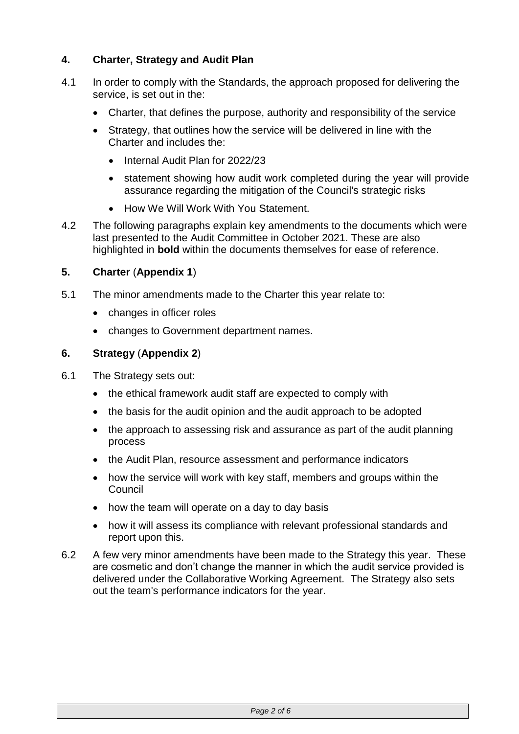# **4. Charter, Strategy and Audit Plan**

- 4.1 In order to comply with the Standards, the approach proposed for delivering the service, is set out in the:
	- Charter, that defines the purpose, authority and responsibility of the service
	- Strategy, that outlines how the service will be delivered in line with the Charter and includes the:
		- Internal Audit Plan for 2022/23
		- statement showing how audit work completed during the year will provide assurance regarding the mitigation of the Council's strategic risks
		- How We Will Work With You Statement.
- 4.2 The following paragraphs explain key amendments to the documents which were last presented to the Audit Committee in October 2021. These are also highlighted in **bold** within the documents themselves for ease of reference.

# **5. Charter** (**Appendix 1**)

- 5.1 The minor amendments made to the Charter this year relate to:
	- changes in officer roles
	- changes to Government department names.

## **6. Strategy** (**Appendix 2**)

- 6.1 The Strategy sets out:
	- the ethical framework audit staff are expected to comply with
	- the basis for the audit opinion and the audit approach to be adopted
	- the approach to assessing risk and assurance as part of the audit planning process
	- the Audit Plan, resource assessment and performance indicators
	- how the service will work with key staff, members and groups within the Council
	- how the team will operate on a day to day basis
	- how it will assess its compliance with relevant professional standards and report upon this.
- 6.2 A few very minor amendments have been made to the Strategy this year. These are cosmetic and don't change the manner in which the audit service provided is delivered under the Collaborative Working Agreement. The Strategy also sets out the team's performance indicators for the year.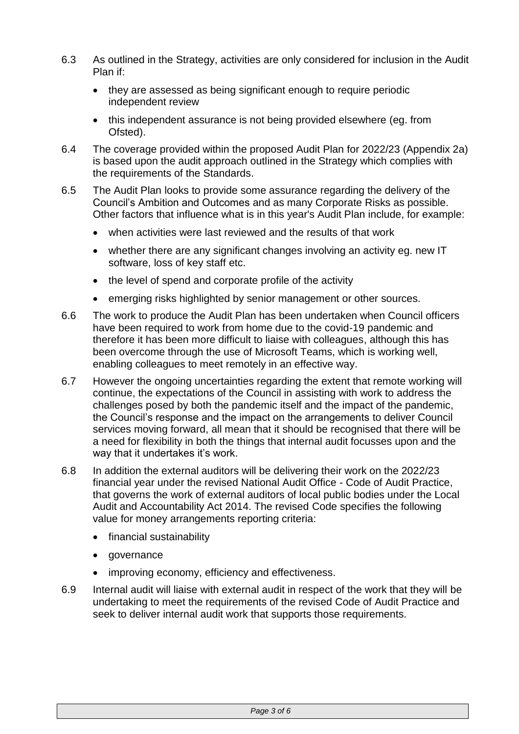- 6.3 As outlined in the Strategy, activities are only considered for inclusion in the Audit Plan if:
	- they are assessed as being significant enough to require periodic independent review
	- this independent assurance is not being provided elsewhere (eg. from Ofsted).
- 6.4 The coverage provided within the proposed Audit Plan for 2022/23 (Appendix 2a) is based upon the audit approach outlined in the Strategy which complies with the requirements of the Standards.
- 6.5 The Audit Plan looks to provide some assurance regarding the delivery of the Council's Ambition and Outcomes and as many Corporate Risks as possible. Other factors that influence what is in this year's Audit Plan include, for example:
	- when activities were last reviewed and the results of that work
	- whether there are any significant changes involving an activity eg. new IT software, loss of key staff etc.
	- the level of spend and corporate profile of the activity
	- emerging risks highlighted by senior management or other sources.
- 6.6 The work to produce the Audit Plan has been undertaken when Council officers have been required to work from home due to the covid-19 pandemic and therefore it has been more difficult to liaise with colleagues, although this has been overcome through the use of Microsoft Teams, which is working well, enabling colleagues to meet remotely in an effective way.
- 6.7 However the ongoing uncertainties regarding the extent that remote working will continue, the expectations of the Council in assisting with work to address the challenges posed by both the pandemic itself and the impact of the pandemic, the Council's response and the impact on the arrangements to deliver Council services moving forward, all mean that it should be recognised that there will be a need for flexibility in both the things that internal audit focusses upon and the way that it undertakes it's work.
- 6.8 In addition the external auditors will be delivering their work on the 2022/23 financial year under the revised National Audit Office - Code of Audit Practice, that governs the work of external auditors of local public bodies under the Local Audit and Accountability Act 2014. The revised Code specifies the following value for money arrangements reporting criteria:
	- financial sustainability
	- governance
	- improving economy, efficiency and effectiveness.
- 6.9 Internal audit will liaise with external audit in respect of the work that they will be undertaking to meet the requirements of the revised Code of Audit Practice and seek to deliver internal audit work that supports those requirements.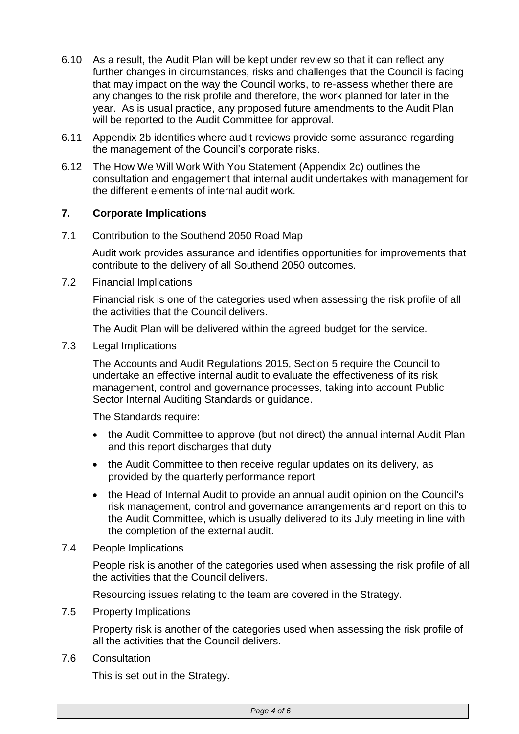- 6.10 As a result, the Audit Plan will be kept under review so that it can reflect any further changes in circumstances, risks and challenges that the Council is facing that may impact on the way the Council works, to re-assess whether there are any changes to the risk profile and therefore, the work planned for later in the year. As is usual practice, any proposed future amendments to the Audit Plan will be reported to the Audit Committee for approval.
- 6.11 Appendix 2b identifies where audit reviews provide some assurance regarding the management of the Council's corporate risks.
- 6.12 The How We Will Work With You Statement (Appendix 2c) outlines the consultation and engagement that internal audit undertakes with management for the different elements of internal audit work.

# **7. Corporate Implications**

7.1 Contribution to the Southend 2050 Road Map

Audit work provides assurance and identifies opportunities for improvements that contribute to the delivery of all Southend 2050 outcomes.

7.2 Financial Implications

Financial risk is one of the categories used when assessing the risk profile of all the activities that the Council delivers.

The Audit Plan will be delivered within the agreed budget for the service.

7.3 Legal Implications

The Accounts and Audit Regulations 2015, Section 5 require the Council to undertake an effective internal audit to evaluate the effectiveness of its risk management, control and governance processes, taking into account Public Sector Internal Auditing Standards or guidance.

The Standards require:

- the Audit Committee to approve (but not direct) the annual internal Audit Plan and this report discharges that duty
- the Audit Committee to then receive regular updates on its delivery, as provided by the quarterly performance report
- the Head of Internal Audit to provide an annual audit opinion on the Council's risk management, control and governance arrangements and report on this to the Audit Committee, which is usually delivered to its July meeting in line with the completion of the external audit.
- 7.4 People Implications

People risk is another of the categories used when assessing the risk profile of all the activities that the Council delivers.

Resourcing issues relating to the team are covered in the Strategy.

7.5 Property Implications

Property risk is another of the categories used when assessing the risk profile of all the activities that the Council delivers.

7.6 Consultation

This is set out in the Strategy.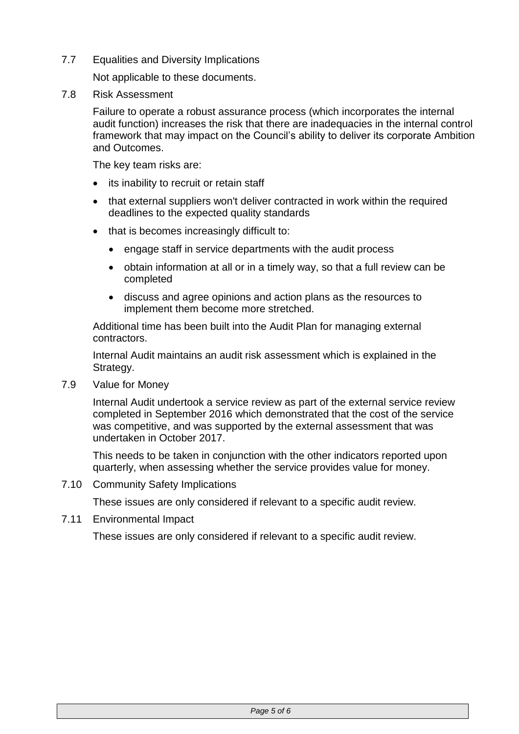7.7 Equalities and Diversity Implications

Not applicable to these documents.

7.8 Risk Assessment

Failure to operate a robust assurance process (which incorporates the internal audit function) increases the risk that there are inadequacies in the internal control framework that may impact on the Council's ability to deliver its corporate Ambition and Outcomes.

The key team risks are:

- its inability to recruit or retain staff
- that external suppliers won't deliver contracted in work within the required deadlines to the expected quality standards
- that is becomes increasingly difficult to:
	- engage staff in service departments with the audit process
	- obtain information at all or in a timely way, so that a full review can be completed
	- discuss and agree opinions and action plans as the resources to implement them become more stretched.

Additional time has been built into the Audit Plan for managing external contractors.

Internal Audit maintains an audit risk assessment which is explained in the Strategy.

7.9 Value for Money

Internal Audit undertook a service review as part of the external service review completed in September 2016 which demonstrated that the cost of the service was competitive, and was supported by the external assessment that was undertaken in October 2017.

This needs to be taken in conjunction with the other indicators reported upon quarterly, when assessing whether the service provides value for money.

7.10 Community Safety Implications

These issues are only considered if relevant to a specific audit review.

7.11 Environmental Impact

These issues are only considered if relevant to a specific audit review.